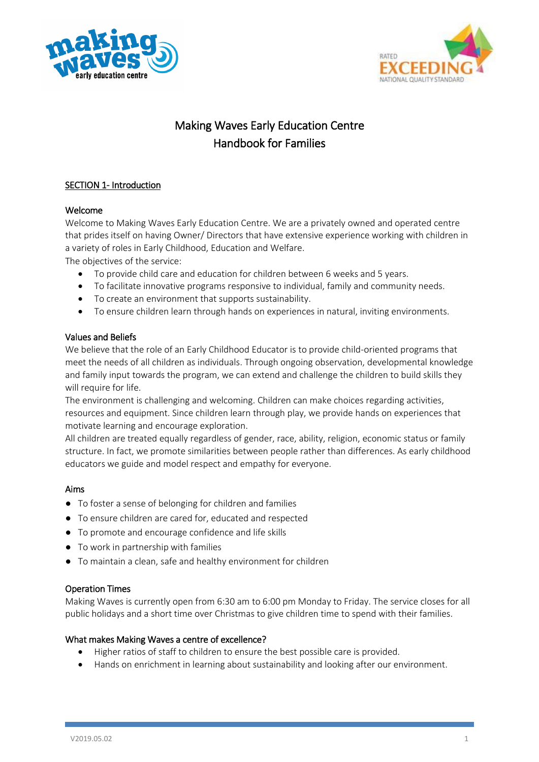



# Making Waves Early Education Centre Handbook for Families

## SECTION 1- Introduction

## Welcome

Welcome to Making Waves Early Education Centre. We are a privately owned and operated centre that prides itself on having Owner/ Directors that have extensive experience working with children in a variety of roles in Early Childhood, Education and Welfare.

The objectives of the service:

- To provide child care and education for children between 6 weeks and 5 years.
- To facilitate innovative programs responsive to individual, family and community needs.
- To create an environment that supports sustainability.
- To ensure children learn through hands on experiences in natural, inviting environments.

## Values and Beliefs

We believe that the role of an Early Childhood Educator is to provide child-oriented programs that meet the needs of all children as individuals. Through ongoing observation, developmental knowledge and family input towards the program, we can extend and challenge the children to build skills they will require for life.

The environment is challenging and welcoming. Children can make choices regarding activities, resources and equipment. Since children learn through play, we provide hands on experiences that motivate learning and encourage exploration.

All children are treated equally regardless of gender, race, ability, religion, economic status or family structure. In fact, we promote similarities between people rather than differences. As early childhood educators we guide and model respect and empathy for everyone.

## Aims

- To foster a sense of belonging for children and families
- To ensure children are cared for, educated and respected
- To promote and encourage confidence and life skills
- To work in partnership with families
- To maintain a clean, safe and healthy environment for children

#### Operation Times

Making Waves is currently open from 6:30 am to 6:00 pm Monday to Friday. The service closes for all public holidays and a short time over Christmas to give children time to spend with their families.

#### What makes Making Waves a centre of excellence?

- Higher ratios of staff to children to ensure the best possible care is provided.
- Hands on enrichment in learning about sustainability and looking after our environment.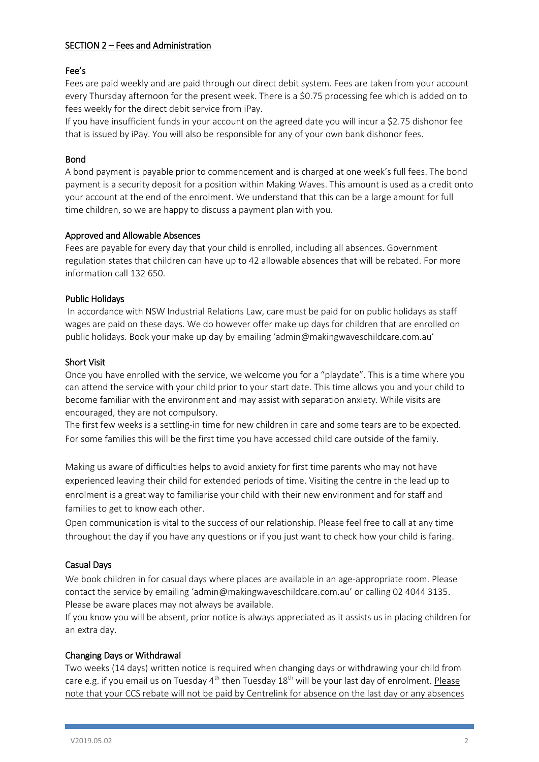## SECTION 2 – Fees and Administration

## Fee's

Fees are paid weekly and are paid through our direct debit system. Fees are taken from your account every Thursday afternoon for the present week. There is a \$0.75 processing fee which is added on to fees weekly for the direct debit service from iPay.

If you have insufficient funds in your account on the agreed date you will incur a \$2.75 dishonor fee that is issued by iPay. You will also be responsible for any of your own bank dishonor fees.

## Bond

A bond payment is payable prior to commencement and is charged at one week's full fees. The bond payment is a security deposit for a position within Making Waves. This amount is used as a credit onto your account at the end of the enrolment. We understand that this can be a large amount for full time children, so we are happy to discuss a payment plan with you.

#### Approved and Allowable Absences

Fees are payable for every day that your child is enrolled, including all absences. Government regulation states that children can have up to 42 allowable absences that will be rebated. For more information call 132 650.

## Public Holidays

In accordance with NSW Industrial Relations Law, care must be paid for on public holidays as staff wages are paid on these days. We do however offer make up days for children that are enrolled on public holidays. Book your make up day by emailing 'admin@makingwaveschildcare.com.au'

#### Short Visit

Once you have enrolled with the service, we welcome you for a "playdate". This is a time where you can attend the service with your child prior to your start date. This time allows you and your child to become familiar with the environment and may assist with separation anxiety. While visits are encouraged, they are not compulsory.

The first few weeks is a settling-in time for new children in care and some tears are to be expected. For some families this will be the first time you have accessed child care outside of the family.

Making us aware of difficulties helps to avoid anxiety for first time parents who may not have experienced leaving their child for extended periods of time. Visiting the centre in the lead up to enrolment is a great way to familiarise your child with their new environment and for staff and families to get to know each other.

Open communication is vital to the success of our relationship. Please feel free to call at any time throughout the day if you have any questions or if you just want to check how your child is faring.

#### Casual Days

We book children in for casual days where places are available in an age-appropriate room. Please contact the service by emailing 'admin@makingwaveschildcare.com.au' or calling 02 4044 3135. Please be aware places may not always be available.

If you know you will be absent, prior notice is always appreciated as it assists us in placing children for an extra day.

#### Changing Days or Withdrawal

Two weeks (14 days) written notice is required when changing days or withdrawing your child from care e.g. if you email us on Tuesday 4<sup>th</sup> then Tuesday 18<sup>th</sup> will be your last day of enrolment. Please note that your CCS rebate will not be paid by Centrelink for absence on the last day or any absences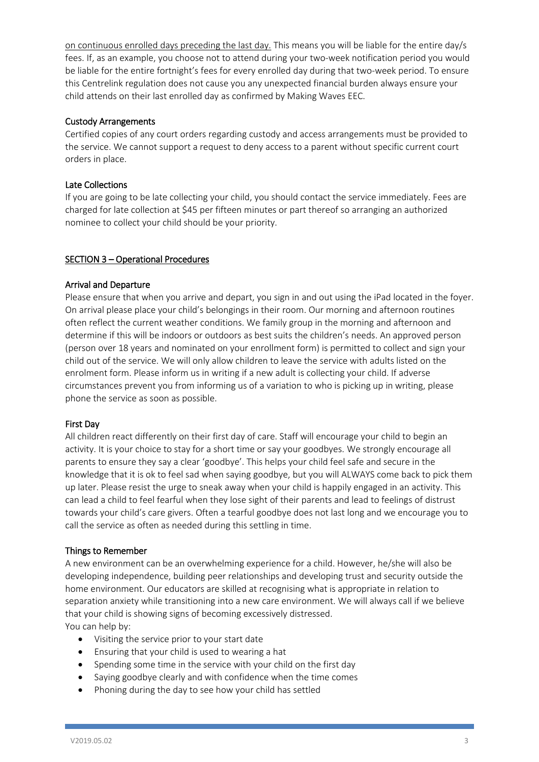on continuous enrolled days preceding the last day. This means you will be liable for the entire day/s fees. If, as an example, you choose not to attend during your two-week notification period you would be liable for the entire fortnight's fees for every enrolled day during that two-week period. To ensure this Centrelink regulation does not cause you any unexpected financial burden always ensure your child attends on their last enrolled day as confirmed by Making Waves EEC.

## Custody Arrangements

Certified copies of any court orders regarding custody and access arrangements must be provided to the service. We cannot support a request to deny access to a parent without specific current court orders in place.

## Late Collections

If you are going to be late collecting your child, you should contact the service immediately. Fees are charged for late collection at \$45 per fifteen minutes or part thereof so arranging an authorized nominee to collect your child should be your priority.

## SECTION 3 – Operational Procedures

## Arrival and Departure

Please ensure that when you arrive and depart, you sign in and out using the iPad located in the foyer. On arrival please place your child's belongings in their room. Our morning and afternoon routines often reflect the current weather conditions. We family group in the morning and afternoon and determine if this will be indoors or outdoors as best suits the children's needs. An approved person (person over 18 years and nominated on your enrollment form) is permitted to collect and sign your child out of the service. We will only allow children to leave the service with adults listed on the enrolment form. Please inform us in writing if a new adult is collecting your child. If adverse circumstances prevent you from informing us of a variation to who is picking up in writing, please phone the service as soon as possible.

#### First Day

All children react differently on their first day of care. Staff will encourage your child to begin an activity. It is your choice to stay for a short time or say your goodbyes. We strongly encourage all parents to ensure they say a clear 'goodbye'. This helps your child feel safe and secure in the knowledge that it is ok to feel sad when saying goodbye, but you will ALWAYS come back to pick them up later. Please resist the urge to sneak away when your child is happily engaged in an activity. This can lead a child to feel fearful when they lose sight of their parents and lead to feelings of distrust towards your child's care givers. Often a tearful goodbye does not last long and we encourage you to call the service as often as needed during this settling in time.

#### Things to Remember

A new environment can be an overwhelming experience for a child. However, he/she will also be developing independence, building peer relationships and developing trust and security outside the home environment. Our educators are skilled at recognising what is appropriate in relation to separation anxiety while transitioning into a new care environment. We will always call if we believe that your child is showing signs of becoming excessively distressed. You can help by:

- Visiting the service prior to your start date
- Ensuring that your child is used to wearing a hat
- Spending some time in the service with your child on the first day
- Saying goodbye clearly and with confidence when the time comes
- Phoning during the day to see how your child has settled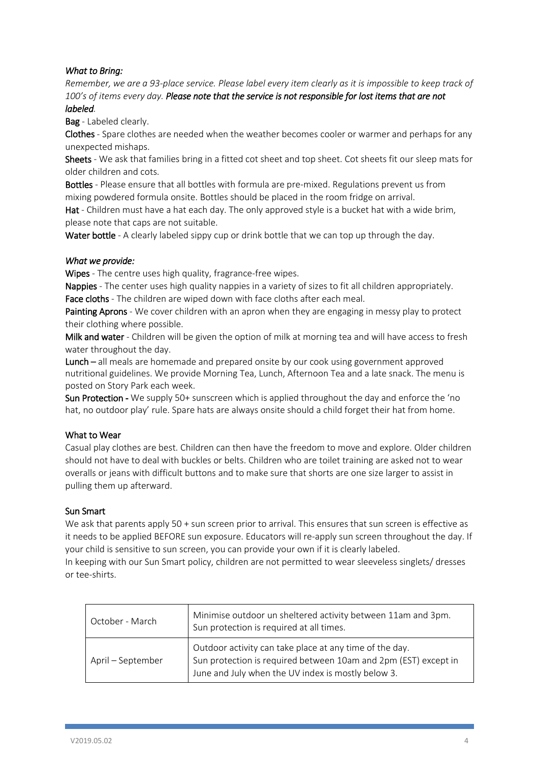## *What to Bring:*

*Remember, we are a 93-place service. Please label every item clearly as it is impossible to keep track of 100's of items every day. Please note that the service is not responsible for lost items that are not* 

## *labeled.*

Bag - Labeled clearly.

Clothes - Spare clothes are needed when the weather becomes cooler or warmer and perhaps for any unexpected mishaps.

Sheets - We ask that families bring in a fitted cot sheet and top sheet. Cot sheets fit our sleep mats for older children and cots.

Bottles - Please ensure that all bottles with formula are pre-mixed. Regulations prevent us from mixing powdered formula onsite. Bottles should be placed in the room fridge on arrival.

Hat - Children must have a hat each day. The only approved style is a bucket hat with a wide brim, please note that caps are not suitable.

Water bottle - A clearly labeled sippy cup or drink bottle that we can top up through the day.

#### *What we provide:*

Wipes - The centre uses high quality, fragrance-free wipes.

Nappies - The center uses high quality nappies in a variety of sizes to fit all children appropriately. Face cloths - The children are wiped down with face cloths after each meal.

Painting Aprons - We cover children with an apron when they are engaging in messy play to protect their clothing where possible.

Milk and water - Children will be given the option of milk at morning tea and will have access to fresh water throughout the day.

Lunch – all meals are homemade and prepared onsite by our cook using government approved nutritional guidelines. We provide Morning Tea, Lunch, Afternoon Tea and a late snack. The menu is posted on Story Park each week.

Sun Protection - We supply 50+ sunscreen which is applied throughout the day and enforce the 'no hat, no outdoor play' rule. Spare hats are always onsite should a child forget their hat from home.

#### What to Wear

Casual play clothes are best. Children can then have the freedom to move and explore. Older children should not have to deal with buckles or belts. Children who are toilet training are asked not to wear overalls or jeans with difficult buttons and to make sure that shorts are one size larger to assist in pulling them up afterward.

#### Sun Smart

We ask that parents apply 50 + sun screen prior to arrival. This ensures that sun screen is effective as it needs to be applied BEFORE sun exposure. Educators will re-apply sun screen throughout the day. If your child is sensitive to sun screen, you can provide your own if it is clearly labeled. In keeping with our Sun Smart policy, children are not permitted to wear sleeveless singlets/ dresses or tee-shirts.

| October - March   | Minimise outdoor un sheltered activity between 11am and 3pm.<br>Sun protection is required at all times.                                                                         |
|-------------------|----------------------------------------------------------------------------------------------------------------------------------------------------------------------------------|
| April – September | Outdoor activity can take place at any time of the day.<br>Sun protection is required between 10am and 2pm (EST) except in<br>June and July when the UV index is mostly below 3. |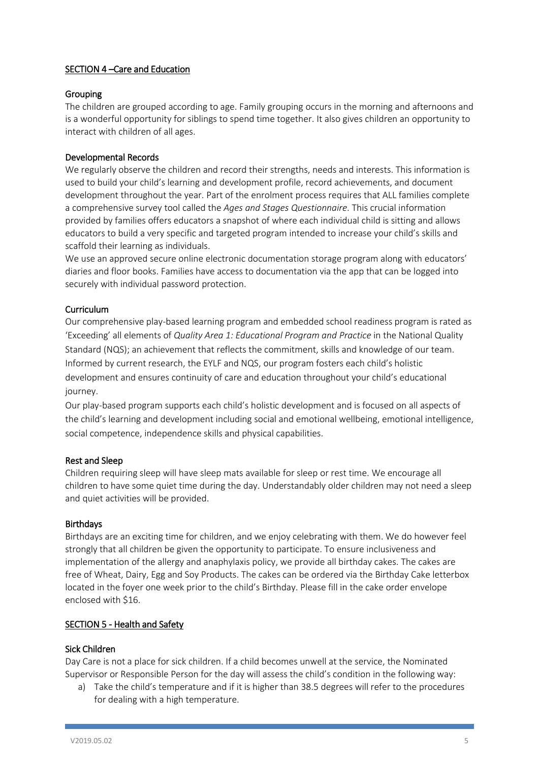## SECTION 4 - Care and Education

## Grouping

The children are grouped according to age. Family grouping occurs in the morning and afternoons and is a wonderful opportunity for siblings to spend time together. It also gives children an opportunity to interact with children of all ages.

## Developmental Records

We regularly observe the children and record their strengths, needs and interests. This information is used to build your child's learning and development profile, record achievements, and document development throughout the year. Part of the enrolment process requires that ALL families complete a comprehensive survey tool called the *Ages and Stages Questionnaire*. This crucial information provided by families offers educators a snapshot of where each individual child is sitting and allows educators to build a very specific and targeted program intended to increase your child's skills and scaffold their learning as individuals.

We use an approved secure online electronic documentation storage program along with educators' diaries and floor books. Families have access to documentation via the app that can be logged into securely with individual password protection.

## Curriculum

Our comprehensive play-based learning program and embedded school readiness program is rated as 'Exceeding' all elements of *Quality Area 1: Educational Program and Practice* in the National Quality Standard (NQS); an achievement that reflects the commitment, skills and knowledge of our team. Informed by current research, the EYLF and NQS, our program fosters each child's holistic development and ensures continuity of care and education throughout your child's educational journey.

Our play-based program supports each child's holistic development and is focused on all aspects of the child's learning and development including social and emotional wellbeing, emotional intelligence, social competence, independence skills and physical capabilities.

## Rest and Sleep

Children requiring sleep will have sleep mats available for sleep or rest time. We encourage all children to have some quiet time during the day. Understandably older children may not need a sleep and quiet activities will be provided.

#### **Birthdays**

Birthdays are an exciting time for children, and we enjoy celebrating with them. We do however feel strongly that all children be given the opportunity to participate. To ensure inclusiveness and implementation of the allergy and anaphylaxis policy, we provide all birthday cakes. The cakes are free of Wheat, Dairy, Egg and Soy Products. The cakes can be ordered via the Birthday Cake letterbox located in the foyer one week prior to the child's Birthday. Please fill in the cake order envelope enclosed with \$16.

#### SECTION 5 - Health and Safety

#### Sick Children

Day Care is not a place for sick children. If a child becomes unwell at the service, the Nominated Supervisor or Responsible Person for the day will assess the child's condition in the following way:

a) Take the child's temperature and if it is higher than 38.5 degrees will refer to the procedures for dealing with a high temperature.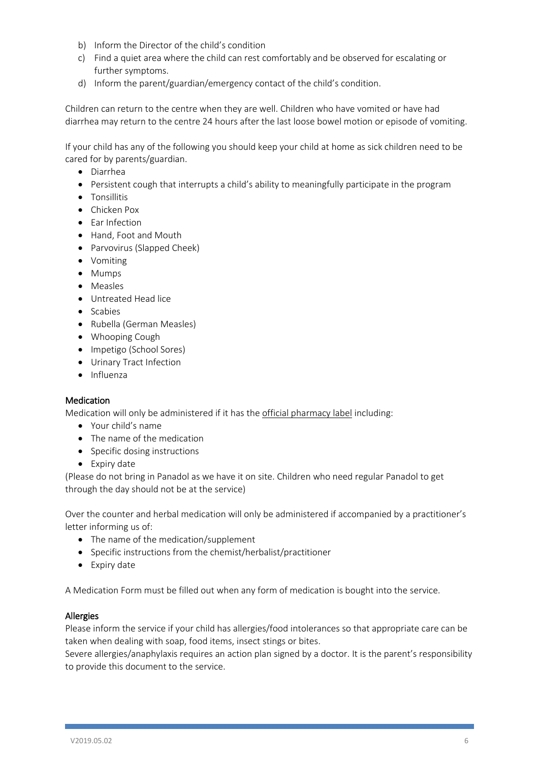- b) Inform the Director of the child's condition
- c) Find a quiet area where the child can rest comfortably and be observed for escalating or further symptoms.
- d) Inform the parent/guardian/emergency contact of the child's condition.

Children can return to the centre when they are well. Children who have vomited or have had diarrhea may return to the centre 24 hours after the last loose bowel motion or episode of vomiting.

If your child has any of the following you should keep your child at home as sick children need to be cared for by parents/guardian.

- Diarrhea
- Persistent cough that interrupts a child's ability to meaningfully participate in the program
- Tonsillitis
- Chicken Pox
- Ear Infection
- Hand, Foot and Mouth
- Parvovirus (Slapped Cheek)
- Vomiting
- Mumps
- Measles
- Untreated Head lice
- Scabies
- Rubella (German Measles)
- Whooping Cough
- Impetigo (School Sores)
- Urinary Tract Infection
- Influenza

#### Medication

Medication will only be administered if it has the official pharmacy label including:

- Your child's name
- The name of the medication
- Specific dosing instructions
- Expiry date

(Please do not bring in Panadol as we have it on site. Children who need regular Panadol to get through the day should not be at the service)

Over the counter and herbal medication will only be administered if accompanied by a practitioner's letter informing us of:

- The name of the medication/supplement
- Specific instructions from the chemist/herbalist/practitioner
- Expiry date

A Medication Form must be filled out when any form of medication is bought into the service.

#### Allergies

Please inform the service if your child has allergies/food intolerances so that appropriate care can be taken when dealing with soap, food items, insect stings or bites.

Severe allergies/anaphylaxis requires an action plan signed by a doctor. It is the parent's responsibility to provide this document to the service.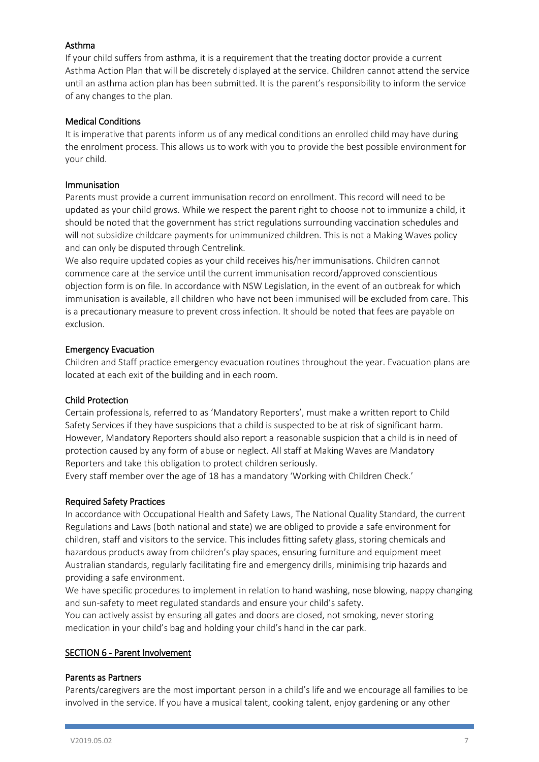## Asthma

If your child suffers from asthma, it is a requirement that the treating doctor provide a current Asthma Action Plan that will be discretely displayed at the service. Children cannot attend the service until an asthma action plan has been submitted. It is the parent's responsibility to inform the service of any changes to the plan.

## Medical Conditions

It is imperative that parents inform us of any medical conditions an enrolled child may have during the enrolment process. This allows us to work with you to provide the best possible environment for your child.

#### Immunisation

Parents must provide a current immunisation record on enrollment. This record will need to be updated as your child grows. While we respect the parent right to choose not to immunize a child, it should be noted that the government has strict regulations surrounding vaccination schedules and will not subsidize childcare payments for unimmunized children. This is not a Making Waves policy and can only be disputed through Centrelink.

We also require updated copies as your child receives his/her immunisations. Children cannot commence care at the service until the current immunisation record/approved conscientious objection form is on file. In accordance with NSW Legislation, in the event of an outbreak for which immunisation is available, all children who have not been immunised will be excluded from care. This is a precautionary measure to prevent cross infection. It should be noted that fees are payable on exclusion.

## Emergency Evacuation

Children and Staff practice emergency evacuation routines throughout the year. Evacuation plans are located at each exit of the building and in each room.

#### Child Protection

Certain professionals, referred to as 'Mandatory Reporters', must make a written report to Child Safety Services if they have suspicions that a child is suspected to be at risk of significant harm. However, Mandatory Reporters should also report a reasonable suspicion that a child is in need of protection caused by any form of abuse or neglect. All staff at Making Waves are Mandatory Reporters and take this obligation to protect children seriously.

Every staff member over the age of 18 has a mandatory 'Working with Children Check.'

## Required Safety Practices

In accordance with Occupational Health and Safety Laws, The National Quality Standard, the current Regulations and Laws (both national and state) we are obliged to provide a safe environment for children, staff and visitors to the service. This includes fitting safety glass, storing chemicals and hazardous products away from children's play spaces, ensuring furniture and equipment meet Australian standards, regularly facilitating fire and emergency drills, minimising trip hazards and providing a safe environment.

We have specific procedures to implement in relation to hand washing, nose blowing, nappy changing and sun-safety to meet regulated standards and ensure your child's safety.

You can actively assist by ensuring all gates and doors are closed, not smoking, never storing medication in your child's bag and holding your child's hand in the car park.

#### SECTION 6 - Parent Involvement

#### Parents as Partners

Parents/caregivers are the most important person in a child's life and we encourage all families to be involved in the service. If you have a musical talent, cooking talent, enjoy gardening or any other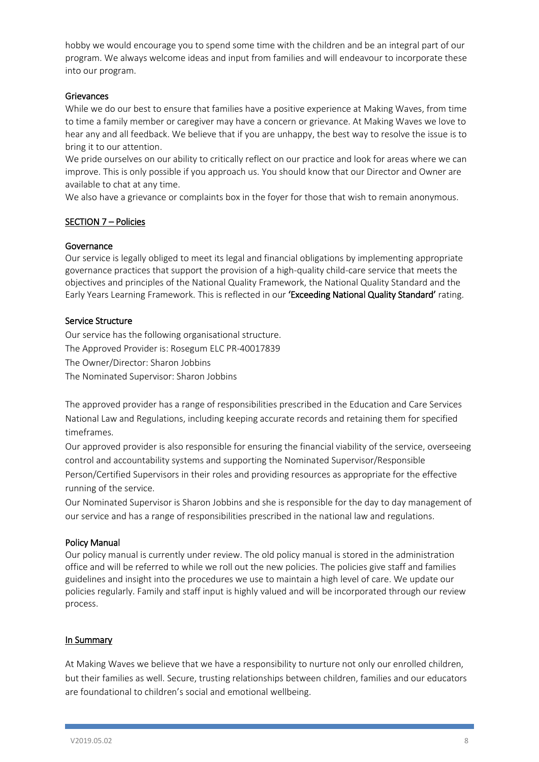hobby we would encourage you to spend some time with the children and be an integral part of our program. We always welcome ideas and input from families and will endeavour to incorporate these into our program.

## Grievances

While we do our best to ensure that families have a positive experience at Making Waves, from time to time a family member or caregiver may have a concern or grievance. At Making Waves we love to hear any and all feedback. We believe that if you are unhappy, the best way to resolve the issue is to bring it to our attention.

We pride ourselves on our ability to critically reflect on our practice and look for areas where we can improve. This is only possible if you approach us. You should know that our Director and Owner are available to chat at any time.

We also have a grievance or complaints box in the foyer for those that wish to remain anonymous.

## SECTION 7 – Policies

## Governance

Our service is legally obliged to meet its legal and financial obligations by implementing appropriate governance practices that support the provision of a high-quality child-care service that meets the objectives and principles of the National Quality Framework, the National Quality Standard and the Early Years Learning Framework. This is reflected in our 'Exceeding National Quality Standard' rating.

## Service Structure

Our service has the following organisational structure. The Approved Provider is: Rosegum ELC PR-40017839 The Owner/Director: Sharon Jobbins The Nominated Supervisor: Sharon Jobbins

The approved provider has a range of responsibilities prescribed in the Education and Care Services National Law and Regulations, including keeping accurate records and retaining them for specified timeframes.

Our approved provider is also responsible for ensuring the financial viability of the service, overseeing control and accountability systems and supporting the Nominated Supervisor/Responsible Person/Certified Supervisors in their roles and providing resources as appropriate for the effective running of the service.

Our Nominated Supervisor is Sharon Jobbins and she is responsible for the day to day management of our service and has a range of responsibilities prescribed in the national law and regulations.

#### Policy Manual

Our policy manual is currently under review. The old policy manual is stored in the administration office and will be referred to while we roll out the new policies. The policies give staff and families guidelines and insight into the procedures we use to maintain a high level of care. We update our policies regularly. Family and staff input is highly valued and will be incorporated through our review process.

#### In Summary

At Making Waves we believe that we have a responsibility to nurture not only our enrolled children, but their families as well. Secure, trusting relationships between children, families and our educators are foundational to children's social and emotional wellbeing.